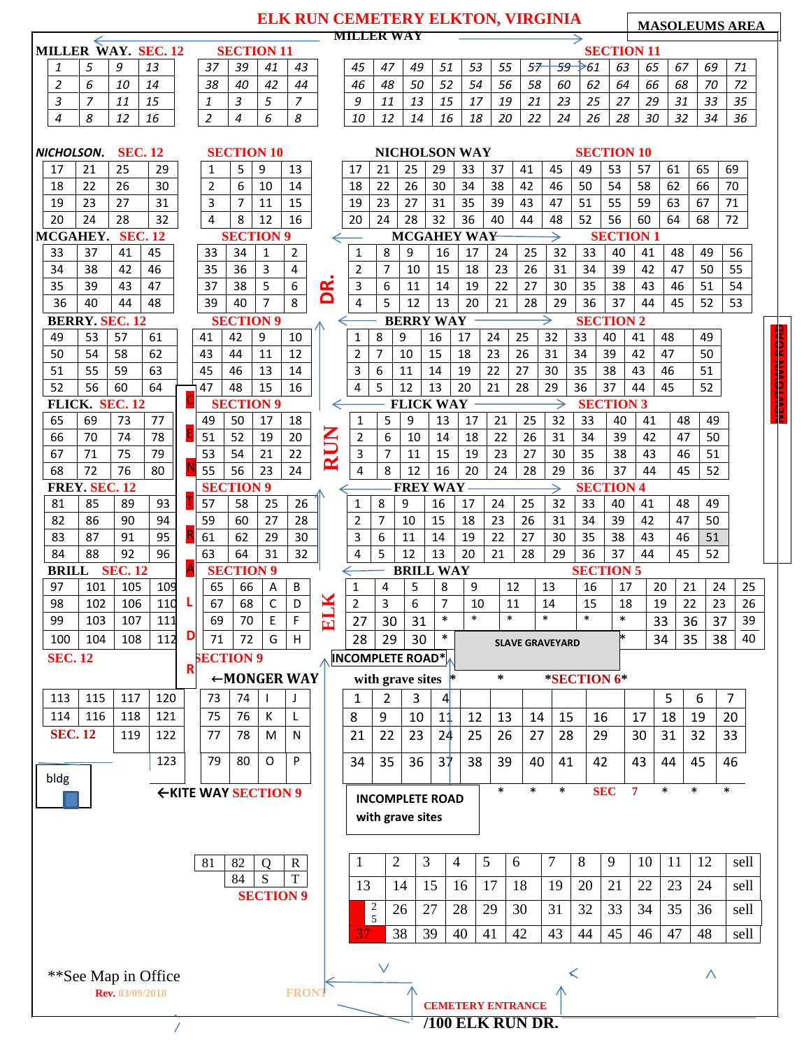|                                                                                                |                      |                 |          |                       |                  |                                      |                         |                | ELK RUN CEMETERY ELKTON, VIRGINIA | <b>MILLER WAY</b>       |                         |                |                  |            |                                                                  |        |                        |                  |                   |    |    |    | <b>MASOLEUMS AREA</b> |    |
|------------------------------------------------------------------------------------------------|----------------------|-----------------|----------|-----------------------|------------------|--------------------------------------|-------------------------|----------------|-----------------------------------|-------------------------|-------------------------|----------------|------------------|------------|------------------------------------------------------------------|--------|------------------------|------------------|-------------------|----|----|----|-----------------------|----|
| MILLER WAY. SEC. 12                                                                            |                      |                 |          |                       |                  |                                      | <b>SECTION 11</b>       |                |                                   |                         |                         |                |                  |            |                                                                  |        |                        |                  | <b>SECTION 11</b> |    |    |    |                       |    |
| 1                                                                                              | 5                    | 9               | 13       |                       | 37               | 39                                   | 41                      | 43             |                                   | 45                      | 47                      | 49             | 51               | 53         | 55                                                               | 57     | 59                     | $\rightarrow 61$ | 63                | 65 | 67 | 69 | 71                    |    |
| $\overline{2}$                                                                                 | 6                    | 10              | 14       |                       | 38               | 40                                   | 42                      | 44             |                                   | 46                      | 48                      | 50             | 52               | 54         | 56                                                               | 58     | 60                     | 62               | 64                | 66 | 68 | 70 | 72                    |    |
| 3                                                                                              | $\overline{7}$       | 11              | 15       |                       | 1                | 3                                    | 5                       | $\overline{z}$ |                                   | 9                       | 11                      | 13             | 15               | 17         | 19                                                               | 21     | 23                     | 25               | 27                | 29 | 31 | 33 | 35                    |    |
| $\overline{4}$                                                                                 | 8                    | 12              | 16       |                       | $\overline{2}$   | $\overline{4}$                       | 6                       | 8              |                                   | 10                      | 12                      | 14             | 16               | 18         | 20                                                               | 22     | 24                     | 26               | 28                | 30 | 32 | 34 | 36                    |    |
| <b>SEC. 12</b><br><b>SECTION 10</b><br><b>NICHOLSON WAY</b><br><b>SECTION 10</b><br>NICHOLSON. |                      |                 |          |                       |                  |                                      |                         |                |                                   |                         |                         |                |                  |            |                                                                  |        |                        |                  |                   |    |    |    |                       |    |
| 17                                                                                             | 21                   | 25              | 29       |                       | 1                | 5                                    | 9                       | 13             |                                   | 17                      | 21                      | 25             | 29               | 33         | 37                                                               | 41     | 45                     | 49               | 53                | 57 | 61 | 65 | 69                    |    |
| 18                                                                                             | 22                   | 26              | 30       |                       | $\overline{2}$   | 6                                    | 10                      | 14             |                                   | 18                      | 22                      | 26             | 30               | 34         | 38                                                               | 42     | 46                     | 50               | 54                | 58 | 62 | 66 | 70                    |    |
| 19                                                                                             | 23                   | 27              | 31       |                       | 3                | 7                                    | 11                      | 15             |                                   | 19                      | 23                      | 27             | 31               | 35         | 39                                                               | 43     | 47                     | 51               | 55                | 59 | 63 | 67 | 71                    |    |
|                                                                                                | 32<br>20<br>24<br>28 |                 |          |                       |                  |                                      | 12                      | 16             |                                   | 20                      | 24                      | 28             | 32               | 36         | 40                                                               | 44     | 48                     | 52               | 56                | 60 | 64 | 68 | 72                    |    |
| MCGAHEY.                                                                                       |                      | <b>SEC. 12</b>  |          |                       | $\overline{4}$   | 8                                    | <b>SECTION 9</b>        |                |                                   | $\longleftarrow$        | <b>MCGAHEY WAY</b><br>→ |                |                  |            |                                                                  |        |                        | <b>SECTION 1</b> |                   |    |    |    |                       |    |
| 33                                                                                             | 37                   | 41              | 45       |                       | 33               | 34                                   | 1                       | $\overline{2}$ |                                   | 1                       | 8                       | 9              | 16               | 17         | 24                                                               | 25     | 32                     | 33               | 40                | 41 | 48 | 49 | 56                    |    |
| 34                                                                                             | 38                   | 42              | 46       |                       | 35               | 36                                   | $\overline{\mathbf{3}}$ | $\overline{4}$ |                                   | 2                       | $\overline{7}$          | 10             | 15               | 18         | 23                                                               | 26     | 31                     | 34               | 39                | 42 | 47 | 50 | 55                    |    |
| 35                                                                                             | 39                   | 43              | 47       |                       | 37               | 38                                   | 5                       | 6              | $\tilde{\mathbf{K}}$              | 3                       | 6                       | 11             | 14               | 19         | 22                                                               | 27     | 30                     | 35               | 38                | 43 | 46 | 51 | 54                    |    |
| 36                                                                                             | 40                   | 44              | 48       |                       | 39               | 40                                   | $\overline{7}$          | 8              | ۵                                 | 4                       | 5                       | 12             | 13               | 20         | 21                                                               | 28     | 29                     | 36               | 37                | 44 | 45 | 52 | 53                    |    |
| <b>BERRY. SEC. 12</b><br><b>BERRY WAY</b><br><b>SECTION 9</b><br><b>SECTION 2</b><br>←         |                      |                 |          |                       |                  |                                      |                         |                |                                   |                         |                         |                |                  |            |                                                                  |        |                        |                  |                   |    |    |    |                       |    |
| 49                                                                                             | 53                   | 57              | 61       |                       | 41               | 42                                   | 9                       | 10             |                                   | $\mathbf{1}$            | 8                       | 9              | 16               | 17         | 24                                                               | 25     | 32                     | 33               | 40                | 41 | 48 | 49 |                       |    |
| 50                                                                                             | 54                   | 58              | 62       |                       | 43               | 44                                   | 11                      | 12             |                                   | 2                       | $\overline{7}$          | 10             | 15               | 18         | 23                                                               | 26     | 31                     | 34               | 39                | 42 | 47 | 50 |                       |    |
| 51                                                                                             | 55                   | 59              | 63       |                       | 45               | 46                                   | 13                      | 14             |                                   | 3                       | 6                       | 11             | 14               | 19         | 22                                                               | 27     | 30                     | 35               | 38                | 43 | 46 | 51 |                       |    |
| 52                                                                                             | 56                   | 60              | 64       | $\overline{\text{C}}$ | 47               | 48                                   | 15                      | 16             |                                   | 4                       | 5                       | 12             | 13               | 20         | 21                                                               | 28     | 29                     | 36               | 37                | 44 | 45 | 52 |                       |    |
|                                                                                                | FLICK. SEC. 12       |                 |          |                       |                  |                                      | <b>SECTION 9</b>        |                | $\Leftarrow$                      |                         |                         |                | <b>FLICK WAY</b> |            |                                                                  |        |                        |                  | <b>SECTION 3</b>  |    |    |    |                       |    |
| 65                                                                                             | 69                   | 73              | 77       | E                     | 49               | 50                                   | 17                      | 18             |                                   | 1                       | 5                       | 9              | 13               | 17         | 21                                                               | 25     | 32                     | 33               | 40                | 41 | 48 | 49 |                       |    |
| 66                                                                                             | 70                   | 74              | 78       |                       | 51               | 52                                   | 19                      | 20             | <b>RUN</b>                        | 2                       | 6                       | 10             | 14               | 18         | 22                                                               | 26     | 31                     | 34               | 39                | 42 | 47 | 50 |                       |    |
| 67                                                                                             | 71<br>72             | 75<br>76        | 79<br>80 |                       | 53<br>55         | 54<br>56                             | 21<br>23                | 22<br>24       |                                   | 3<br>$\overline{4}$     | $\overline{7}$<br>8     | 11<br>12       | 15<br>16         | 19<br>20   | 23                                                               | 27     | 30                     | 35               | 38                | 43 | 46 | 51 |                       |    |
| 68                                                                                             | FREY. SEC. 12        |                 |          |                       |                  | <b>SECTION 9</b><br><b>FREY WAY-</b> |                         |                |                                   |                         |                         |                |                  |            | 45<br>24<br>28<br>29<br>36<br>37<br>44<br>52<br><b>SECTION 4</b> |        |                        |                  |                   |    |    |    |                       |    |
| 81                                                                                             |                      | 57              | 58       | 25                    | 26               |                                      | 1                       | 8              | 9                                 | 16                      | 17                      | 24             | 25               | 32         | 33                                                               | 40     | 41                     | 48               | 49                |    |    |    |                       |    |
| 82                                                                                             | 85<br>86             | 89<br>90        | 93<br>94 |                       | 59               | 60                                   | 27                      | 28             |                                   | 2                       | $\overline{7}$          | 10             | 15               | 18         | 23                                                               | 26     | 31                     | 34               | 39                | 42 | 47 | 50 |                       |    |
| 83                                                                                             | 87                   | 91              | 95       |                       | 61               | 62                                   | 29                      | 30             |                                   | 3                       | 6                       | 11             | 14               | 19         | 22                                                               | 27     | 30                     | 35               | 38                | 43 | 46 | 51 |                       |    |
| 84                                                                                             | 88                   | 92              | 96       |                       | 63               | 64                                   | 31                      | 32             |                                   | 4                       | 5                       | 12             | 13               | 20         | 21                                                               | 28     | 29                     | 36               | 37                | 44 | 45 | 52 |                       |    |
|                                                                                                | <b>BRILL SEC. 12</b> |                 |          | A                     |                  | <b>SECTION 9</b>                     |                         |                |                                   | <b>BRILL WAY</b>        |                         |                |                  |            |                                                                  |        |                        |                  | <b>SECTION 5</b>  |    |    |    |                       |    |
| 97                                                                                             | 105<br>109<br>101    |                 |          |                       | 65               | 66                                   | A                       | B              |                                   | 1                       | 4                       | 5              | $\,8\,$          | 9          |                                                                  | 12     | 13                     | 16               | 17                |    | 20 | 21 | 24                    | 25 |
| 98                                                                                             | 102                  | 106             | 110      | L                     | 67               | 68                                   | $\overline{C}$          | $\overline{D}$ | ×                                 | $\overline{2}$          | $\overline{3}$          | $\overline{6}$ | 7 <sup>7</sup>   | 10         |                                                                  | 11     | 14                     | 15               | 18                |    | 19 | 22 | 23                    | 26 |
| 99                                                                                             | 103                  | 107             | 111      |                       | 69               | 70                                   | E                       | F              | $\overline{\mathbf{5}}$           | 27                      | 30                      | 31             | $\ast$           | $\ast$     |                                                                  | $\ast$ | $\ast$                 | $\ast$           | $\ast$            |    | 33 | 36 | 37                    | 39 |
| 100                                                                                            | 104                  | 108             | 112      | D                     | 71               | 72                                   | G                       | H              |                                   | 28                      | 29                      | 30             | $\ast$           |            |                                                                  |        | <b>SLAVE GRAVEYARD</b> |                  |                   |    | 34 | 35 | 38                    | 40 |
| <b>SEC. 12</b>                                                                                 |                      |                 |          |                       | <b>SECTION 9</b> |                                      |                         |                |                                   | <b>INCOMPLETE ROAD*</b> |                         |                |                  |            |                                                                  |        |                        |                  |                   |    |    |    |                       |    |
| R<br>←MONGER WAY<br>$\ast$<br>*SECTION 6*<br>with grave sites $*$                              |                      |                 |          |                       |                  |                                      |                         |                |                                   |                         |                         |                |                  |            |                                                                  |        |                        |                  |                   |    |    |    |                       |    |
| 113                                                                                            | 115                  | 117             | 120      |                       | 73               | 74                                   | $\mathbf{I}$            |                |                                   | 1                       | $\overline{2}$          | 3              | 4                |            |                                                                  |        |                        |                  |                   |    | 5  | 6  | $\overline{7}$        |    |
| 114                                                                                            | 116                  | 118             | 121      |                       | 75               | 76                                   | К                       | L              |                                   | 8                       | 9                       | 10             | 11               | 12         | 13                                                               | 14     | 15                     |                  | 16                | 17 | 18 | 19 | 20                    |    |
| <b>SEC. 12</b>                                                                                 |                      | 119             | 122      |                       | 77               | 78                                   | M                       | N              |                                   | 21                      | 22                      | 23             | 24               | 25         | 26                                                               | 27     | 28                     |                  | 29                | 30 | 31 | 32 | 33                    |    |
|                                                                                                |                      |                 | 123      |                       | 79               | 80                                   | O                       | P              |                                   | 34                      | 35                      | 36             | $3\dagger$       | 38         | 39                                                               | 40     | 41                     |                  | 42                | 43 | 44 | 45 | 46                    |    |
| bldg                                                                                           |                      |                 |          |                       |                  |                                      |                         |                |                                   |                         |                         |                |                  |            |                                                                  |        |                        |                  |                   |    |    |    |                       |    |
| $\ast$<br>$\ast$<br>$\ast$<br>←KITE WAY SECTION 9<br><b>INCOMPLETE ROAD</b>                    |                      |                 |          |                       |                  |                                      |                         |                |                                   |                         |                         |                |                  | <b>SEC</b> | $\overline{\tau}$                                                | $\ast$ | $\ast$                 | $\ast$           |                   |    |    |    |                       |    |
|                                                                                                |                      |                 |          |                       |                  |                                      |                         |                |                                   |                         |                         |                |                  |            |                                                                  |        |                        |                  |                   |    |    |    |                       |    |
| with grave sites                                                                               |                      |                 |          |                       |                  |                                      |                         |                |                                   |                         |                         |                |                  |            |                                                                  |        |                        |                  |                   |    |    |    |                       |    |
| 81<br>82<br>$\mathbf R$<br>Q                                                                   |                      |                 |          |                       |                  |                                      |                         |                |                                   | 1                       | $\overline{2}$          |                | 3                | 4          | 5                                                                | 6      | 7                      | 8                | 9                 | 10 | 11 | 12 | sell                  |    |
|                                                                                                |                      |                 |          |                       |                  | 84                                   | S                       | T              |                                   | 13                      |                         | 14             | 15               | 16         | 17                                                               | 18     | 19                     | 20               | 21                | 22 | 23 | 24 | sell                  |    |
|                                                                                                |                      |                 |          |                       |                  |                                      | <b>SECTION 9</b>        |                |                                   |                         | $\overline{c}$          |                |                  |            |                                                                  |        |                        |                  |                   |    |    |    |                       |    |
|                                                                                                |                      |                 |          |                       |                  |                                      |                         |                |                                   |                         | 5                       | 26             | 27               | 28         | 29                                                               | 30     | 31                     | 32               | 33                | 34 | 35 | 36 | sell                  |    |
|                                                                                                |                      |                 |          |                       |                  |                                      |                         |                |                                   | 37                      |                         | 38             | 39               | 40         | 41                                                               | 42     | 43                     | 44               | 45                | 46 | 47 | 48 | sell                  |    |
|                                                                                                |                      |                 |          |                       |                  |                                      |                         |                |                                   |                         |                         |                |                  |            |                                                                  |        |                        |                  |                   |    |    |    |                       |    |
| **See Map in Office                                                                            |                      |                 |          |                       |                  |                                      |                         |                |                                   | $\vee$                  |                         |                |                  |            |                                                                  |        | ≺                      | Λ                |                   |    |    |    |                       |    |
|                                                                                                |                      | Rev. 03/09/2018 |          |                       |                  |                                      |                         | <b>FRON</b>    |                                   |                         |                         |                |                  |            |                                                                  |        |                        |                  |                   |    |    |    |                       |    |
|                                                                                                |                      |                 |          |                       |                  |                                      |                         |                |                                   |                         |                         |                |                  |            | <b>CEMETERY ENTRANCE</b>                                         |        |                        |                  |                   |    |    |    |                       |    |
|                                                                                                |                      |                 |          |                       |                  |                                      |                         |                |                                   |                         |                         |                |                  |            | <b>/100 ELK RUN DR.</b>                                          |        |                        |                  |                   |    |    |    |                       |    |

**NEWTOWN ROAD**